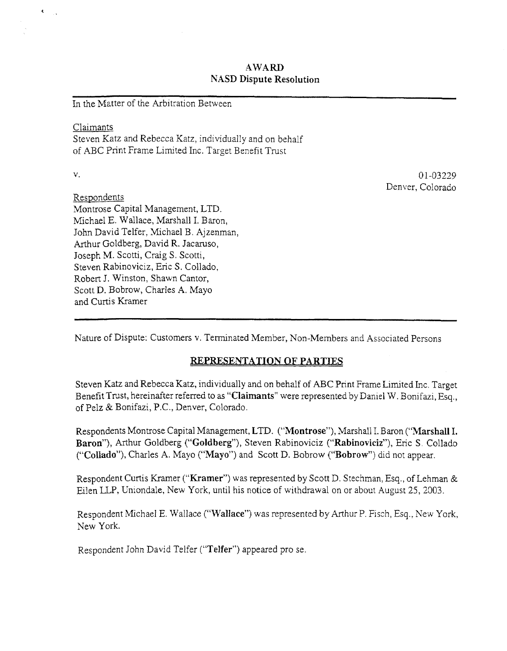## **A4WARD NASD Dispute Resolution**

#### In the Matter of the Arbitration Between

Claimants

Steven Katz and Rebecca Katz, individually and on behalf of ABC Print Frame Limited Inc. Target Benefit Trust

V

 $\mathbf{C}_{\text{max}}$ 

*0* 1-03229 Denver, Colorado

Respondents Montrose Capital Management, LTD. Michael E. Wallace, Marshall I. Baron, John David Telfer, Michael B. Ajzenman, Arthur Goldberg, David R. Jacaruso, Joseph **M.** Scotti, Craig S. Scotti, Steven Rabinoviciz, Eric S. Collado, Robert J. Winston, Shawn Cantor, Scott D. Bobrow, Charles **A.** Mayo and Curtis Kramer

Nature of Dispute: Customers v. Terminated Member, Non-Members and Associated Persons

# **REPRESENTATION OF PARTIES**

Steven Katz and Rebecca Katz, individually and on behalf of ABC Print Frame Limited Inc. Target Benefit Trust, nereinafter referred to as **"Claimants"** were represenred by Daniel W. Bonifazi, Esq., of Pelz & Bonifazi, P.C., Denver, Colorado.

Respondents Montrose Capital Management, LTD. **("Montrose"),** Marshall I. Baron **(''Marshall** I. **Baron"),** Arthur Goldberg **("Goldberg"),** Steven Rabinoviciz **("Rabinoviciz"),** Eric *S,* Collado **("Collado"),** Charles **A.** Mayo **("Mayo")** and Scott D. Bobrow **("Bobrow")** did not appear.

Respondent Curtis Kramer **("Kramer")** was represented by Scott D. Stechman, Esq., of Lehman & Eilen LLP, Uniondale, New York, until his notice of withdrawal on or about August 25, 2003.

Respondent Michael E. Wallace ("Wallace") was represented by Arthur P. Fisch, Esq., New York, New York.

Respondent John David Telfer **("Telfer")** appeared pro se.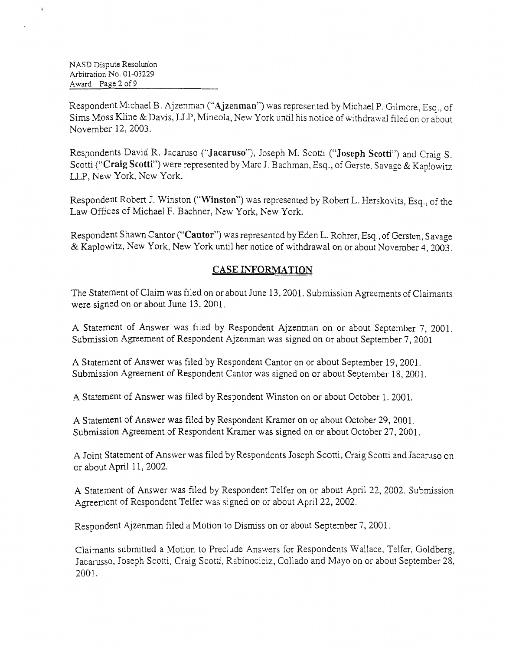NASD Dispute Resolution Arbitration NO. 01-03229 Award Page *2* of *9* 

Respondent Michael B. Ajzenman ("Ajzenman") was represented by Michael P. Gilmore, Esq., of Sims Moss Kline & Davis, LLP, Mineola, New York until his notice of withdrawal filed on or about November 12,2003.

Respondents David R. Jacaruso ("Jacaruso"), Joseph M. Scotti **("Joseph Scotti")** and Craig *S.*  Scotti **("Craig Scotti")** were represented by Marc J. Bachman, Esq., of Gerste, Savage & Kaplowitz UP, New York, New York.

Respondent Robert J. Winston **("Winston")** was represented by Robert L. Herskovits, **Esq.,** of the Law Offices of Michael F. Bachner, New York, New York.

Respondent Shawn Cantor **("Cantor")** was represented by Eden L. Rohrer, Esq., of Gersten, Savage & Kaplowitz, New York, New York until her notice of withdrawal on or about November 4,2003.

# **CASE** INFORMATION

The Statement of Claim was filed on or about June 13,2001. Submission Agreements of Claimants were signed on or about June 13,2001.

A Statement of Answer was filed by Respondent Ajzenman on or about September 7, 2001. Submission Agreement of Respondent Ajzenman was signed on or about September 7,2001

A Statement of Answer was filed by Respondent Cantor on or about September 19,2001. Submission Agreement of Respondent Cantor was signed on or about September 18,2001.

A Statement of Answer was filed by Respondent Winston on or about October 1, 2001.

**A** Statement of Answer was filed by Respondent Kramer on or about October *29,* 2001. Submission Agreement of Respondent Kramer was signed on or about October 27,2001.

A Joint Statement of Answer was filed by Respondents Joseph Scotti, Craig Scotti and Jacaruso on or about April 11,2002.

A Statement of Answer was filed by Respondent Telfer on or about April 22, 2002. Submission Agreement of Respondent Telfer was signed on or about April 22,2002.

Respondent Ajzenman filed a Motion to Dismiss on or about September 7,2001

Claimants submitted a Motion to Preclude Answers for Respondents Wallace, Telfer, Goldberg, Jacarusso, Joseph Scotti, Craig Scotti, Rabinociciz, Collado and Mayo on or about September 28, 200 1.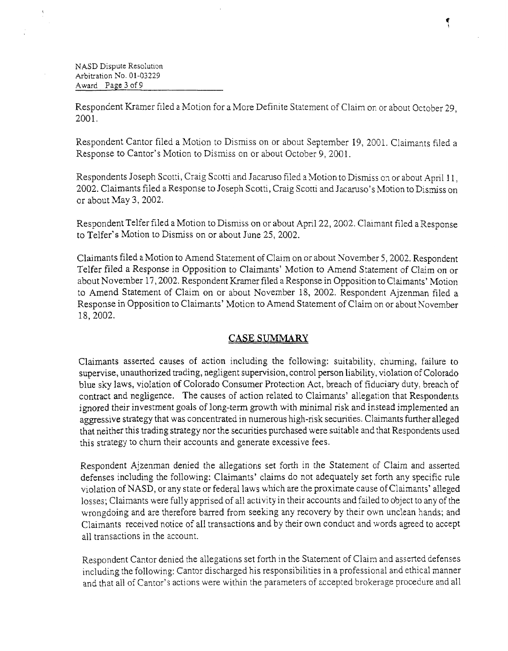NASD Dispute Resolution Arbitration NO. 01-03229 Award Page **3** of 9

Respondent Kramer filed a Motion for a More Definite Statement of Claim on or about October 29, 2001.

Respondent Cantor filed a Motion to Dismiss on or about September 19, 2001. Claimants filed a Response to Cantor's Motion to Dismiss on or about October 9, 2001.

Respondents Joseph Scotti, Craig Scotti and Jacaruso filed a Motion to Dismiss on or about **April** 1 **1,**  2002. Claimants filed a Response to Joseph Scotti, Craig Scotti and Jacaruso's Motion to Dismiss on or about May 3, 2002.

Respondent Telfer filed a Motion to Dismiss on or about April 22, 2002. Claimant filed a Response to Telfer's Motion to Dismiss on or about June 25, 2002.

Claimants filed a Motion to Amend Statement of Claim on or about November 5, 2002. Respondent Telfer filed a Response in Opposition to Claimants' Motion to Amend Statement of Claim on or about November 17,2002. Respondent Kramer filed a Response in Opposition to Claimants' Motion to Amend Statement of Claim on or about November 13, 2002. Respondent Ajzenman filed a Response in Opposition to Claimants' Motion to Amend Statement of Claim on or about November 18,2002.

#### **CASE SUMMARY**

Claimants asserted causes of action including the following: suitability, churning, failure to supervise, unauthorized trading, negligent supervision, control person liability, violation of Colorado blue **sky** laws, violation of CoIorado Consumer Protection Act, breach of fiduciary duty, breach of contract and negligence. The causes of action related to Claimants' allegation that Respondents ignored their investment goals of long-term growth with minimal **risk** and instead implemented an aggressive strategy that was concentrated in numerous high-risk securities. Claimants further alleged that neither this trading strategy nor the securities purchased were suitable and :hat Respondents used this strategy to chum their accounts and generate excessive fees.

Respondent Ajzenrnan denied the allegations set forth in the Statement of Claim and asserted defenses including the following: Claimants' claims do not adequately set forth any specific rule violation of NASD, or any state or federal laws which are the proximate cause of Claimants' alleged losses; Claimants were fully apprised of all activity in their accounts and failed to object to any of the wrongdoing and are therefore barred from seeking any recovery by their own unclean hands; and Claimants received notice of all transactions and by their own conduct and words agreed to accept all transactions in the account.

Respondent Cantor denied the allegations set forth in the Statement of Claim and asserted defenses including the following: Cantor discharged his responsibilities in a professional and ethical manner and that all of Cantor's actions were within the parameters of accepted brokerage procedure and all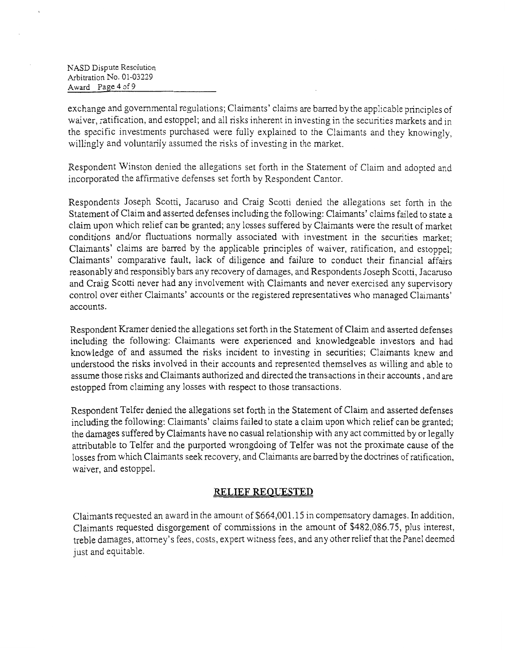NASD Dispute Resolution Arbitration No. 01-03229 Award Page 4 of *9* 

exchange and governmental regulations; Claimants' claims are barred by the applicable principles of waiver, ratification, and estoppel; and all risks inherent in investing in the securities markets and in the specific investments purchased were fully explained to the Claimants and they knowingly, willingly and voluntarily assumed the risks of investing in the market.

Respondent Winston denied the allegations set forth in the Statement of Claim and adopted and incorporated the affirmative defenses set forth by Respondent Cantor.

Respondents Joseph Scotti, Jacaruso and Craig Scotti denied the allegations set forth in the Statement of Claim and asserted defenses including the following: Claimants' claims failed to state a claim upon which relief can be granted; any losses suffered by Claimants were the result of market conditions and/or fluctuations normally associated with investment in the securities market; Claimants' claims are barred by the applicable principles of waiver, ratification, and estoppel; Claimants' comparative fault, lack of diligence and failure to conduct their financial affairs reasonably and responsibly bars any recovery of damages, and Respondents Joseph Scotti, Jacaruso and Craig Scotti never had any involvement with Claimants and never exercised any supervisory control over either Claimants' accounts or the registered representatives who managed Claimants' accounts.

Respondent Kramer denied the allegations set forth in the Statement of Claim and asserted defenses including the following: Claimants were experienced and knowledgeable investors and had knowledge of and assumed the risks incident to investing in securities; Claimants knew and understood the risks involved in their accounts and represented themselves as willing and able to assume those risks and Claimants authorized and directed the transactions in their accounts, and are estopped from claiming any losses with respect to those transactions.

Respondent Telfer denied the allegations set forth in the Statement of Claim and asserted defenses including the following: Claimants' claims failed to state a claim upon which relief can be granted; the damages suffered by Claimants have no casual relationship with any act committed by or legally attributable to Telfer and the purported wrongdoing of Telfer was not the proximate cause of the losses from which Claimants seek recovery, and Claimants are barred by the doctrines of ratification, waiver, and estoppel.

# RELIEF **REOLTESTED**

Claimants requested an award in the amount of \$664,001.15 in compensatory damages. In addition, Claimants requested disgorgement of commissions in the amount of \$482,086.75, plus interest, treble damages, attorney's fees, costs, expert witness fees, and any other relief that the Panel deemed just and equitable.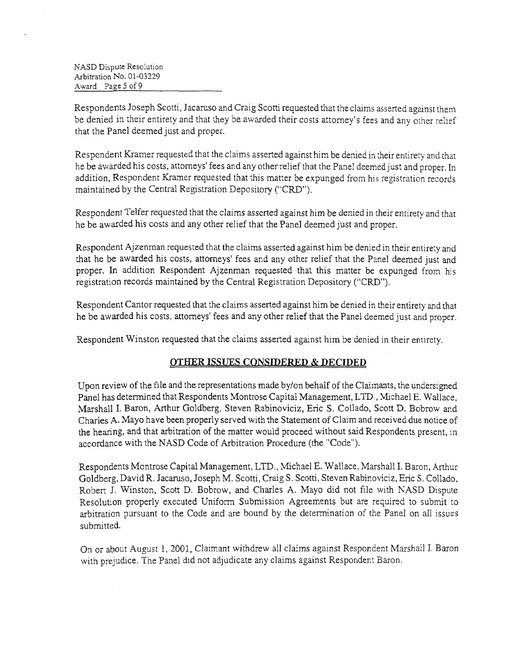NASD Dispute Resolution Arbitration NO. 01-03229 Award Page *5* of *9* 

Respondents Joseph Scotti, Jacaruso and Craig Scotti requested that the claims asserted against them be denied in their entirety and that they be awarded their costs attorney's fees and any other relief that the Panel deemed just and proper.

Respondent Kramer requested that the claims asserted against him be denied in their entirety and that he be awarded his costs, attorneys' fees and any other relief that the Panel deemed just and proper. In addition, Respondent Kramer requested that this matter be expunged from his registration records maintained by the Central Registration Depository ("CRD").

Respondent Telfer requested that the claims asserted against him be denied in their entirety and that he be awarded his costs and any other relief that the Panel deemed just and proper.

Respondent Ajzenman requested that the claims asserted against him be denied in their entirety and that he be awarded his costs, attorneys' fees and any other relief that the Panel deemed just and proper. In addition Respondent Ajzenman requested that this matter be expunged from his registration records maintained by the Central Registration Depository ("CRD").

Respondent Cantor requested that the claims asserted against him be denied in their entirety and that he be awarded his costs, attorneys' fees and any other relief that the Panel deemed just and proper.

Respondent Winston requested that the claims asserted against him be denied in their entirety

# **OTHER ISSUES CONSIDERED & DECIDED**

Upon review of the file and the representations made by/on behalf of the Claimants, the undersigned Panel has determined that Respondents Montrose Capital Management, LTD., Michael E. Wallace, Marshall I. Baron, Arthur Goldberg, Steven Rabinoviciz, Eric S. Collado, Scott D. Bobrow and Charles **A.** Mayo have been properly served with the Statement of Claim and received due notice of the hearing, and that arbitration of the matter would proceed without said Respondents present, in accordance with the NASD Code of Arbitration Procedure (the "Code").

Respondents Montrose Capital Management, LTD., Michael E. Wallace, Marshall I. Baron, Arthur Goldberg, David R. Jacaruso, Joseph M. Scotti, Craig S. Scotti, Steven Rabinoviciz, Eric S. Collado, Robert J. Winston, Scott D, Bobrow, and Charles **A.** Mayo did not file with K'ASD Dispute Resolution properly executed Uniform Submission Agreements but are required to submit to arbitration pursuant to the Code and are bound by the determination of the Panel on all issucs submitted.

On or about August 1, 2001, Claimant withdrew all claims against Respondent Marsha:l I. Baron with prejudice. The Panel did not adjudiczte any claims against Respondent Baron.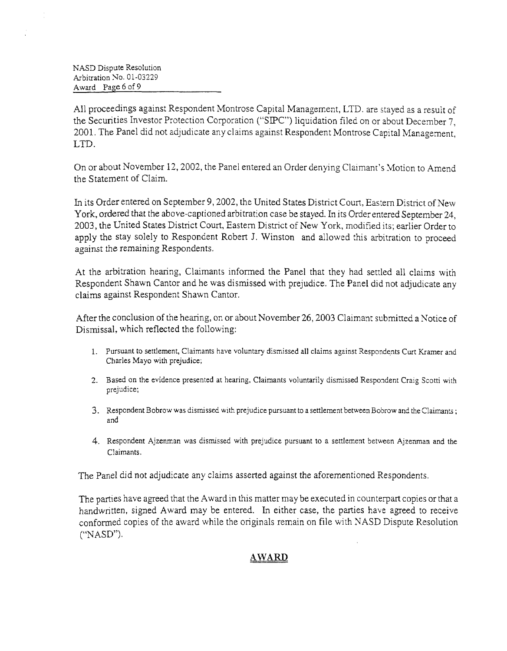NASD Dispute Resolution Arbitration No. 01-03229 Award Page 6 of 9

All proceedings against Respondent Montrose Capitzl Management, LTD. are stayed as a result of the Securities Investor Protection Corporation ("SIPC") liquidation filed on or about December 7, 2001. The Panel did not adjudicate any claims against Respondent Montrose Capital Management, LTD.

On or about November 12,2002, the Panei entered an Order denying Claimant's Motion to Amend the Statement of CIaim.

In its Order entered on September 9,2002, the United States District Court, Eastern District of New York, ordered that the above-captioned arbitration case be stayed. In its Order entered September **24,**  2003, the United States District Court, Eastern District of New York, modified its; earlier Order to apply the stay solely to Respondent Robert J. Winston and allowed ths arbitration to proceed against the remaining Respondents.

At the arbitration hearing, Claimants informed the Panel that they had settled all claims with Respondent Shawn Cantor and he was dismissed with prejudice. The Panel did not adjudicate any claims against Respondent Shawn Cantor.

After the conclusion of the hearing, on or about November 26, 2003 Claimant submitted a Notice of Dismissal, which reflected the following:

- 1. Pursuant to settlement, Claimants have voluntary dismissed all claims against Respondents Curt Kramer and Charles Mayo with prejudice;
- 2. Based on the evidence presented at hearing, Claimants voluntarily dismissed Respondent Craig Scotti with prejudice;
- 3. Respondent Bobrow was dismissed with prejudice pursuant to a settlement between Bobrow and the Claimants; and
- 4. Respondent Ajzeman was dismissed with prejudice pursuant to a settlement between Ajzenman and the Claimants.

The Panel did not adjudicate any claims asserted against the aforementioned Respondents.

The parties have agreed that the Award in this matter may be executed in counterpart copies or that a handwritten, signed Award may be entered. In either case, the parties have agreed to receive conformed copies of the award while the originals remain on file with NASD Dispute Resolution ("NASD").

# **AWARD**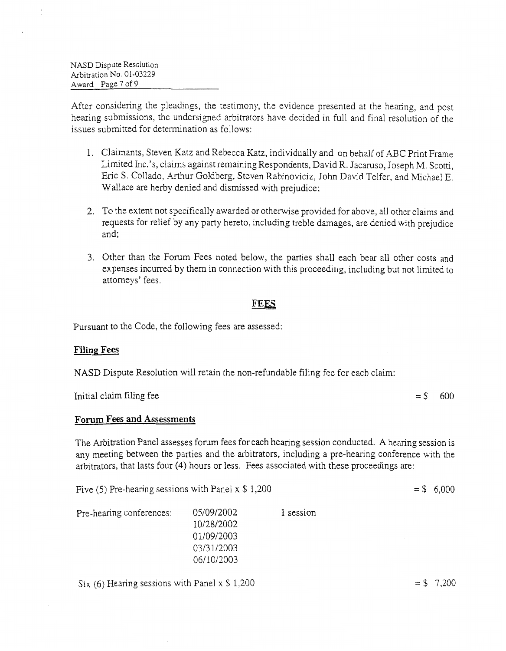After considering the pleadings, the testimony, the evidence presented at the hearing, and post hearing submissions, the undersigned arbitrators have decided in full and final resolution of the issues submitted for determination as follows:

- 1. Claimants, Steven Katz and Rebecca Katz, individually and on behalf of ABC Print Frame Limited Inc.'s, claims against remaining Respondents, David R. Jacaruso, Joseph M. Scotti, Eric S. Collado, Arthur Goldberg, Steven Rabinoviciz, John David Telfer, and Michael E. Wallace are herby denied and dismissed with prejudice;
- 2. To the extent not specifically awarded or otherwise provided for above, all other claims and requests for relief by any party hereto, including treble damages, are denied with prejudice and;
- 3. Other than the Forum Fees noted below, the parties shall each bear all other costs and expenses incurred by them in connection with this proceeding, including but not limited to attorneys' fees.

## **FEES**

Pursuant to the Code, the following fees are assessed:

### **Filing Fees**

NASD Dispute Resolution will retain the non-refundable filing fee for each claim:

Initial claim filing fee  $= $600$ 

### **Forum Fees and Assessments**

The Arbitration Panel assesses forum fees for each hearing session conducted. **A** hearing session is any meeting between the parties and the arbitrators, including a pre-hearing conference with the arbitrators, that lasts four **(4)** hours or less. Fees associated with these proceedings are:

Five (5) Pre-hearing sessions with Panel x  $\frac{1}{200}$  = \$ 6,000 = \$ 6,000

Pre-hearing conferences: 05/09/2002 1 session 10/28/2002 01/09/2003 *0313* 1/2003 *0611012003* 

Six (6) Hearing sessions with Panel  $x \, \$ 1,200$  =  $\$ 7,200$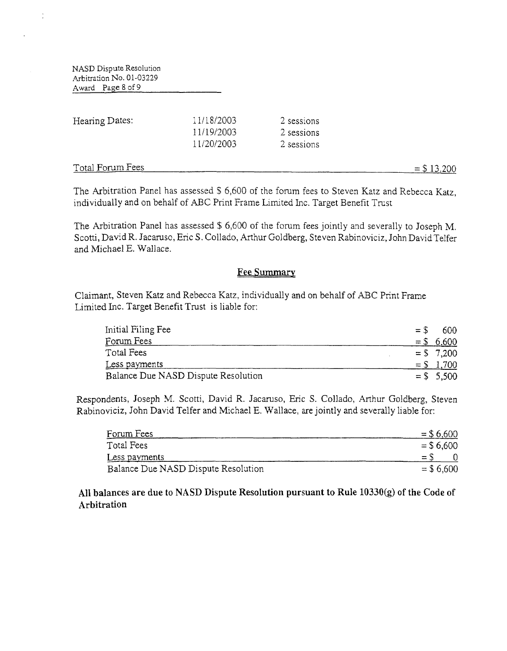NASD Dispute Resolution Arbitration No. 01-03229 Award Page 8 of *9* 

 $\frac{1}{2}$ 

| Hearing Dates:   | 11/18/2003<br>11/19/2003<br>11/20/2003 | 2 sessions<br>2 sessions<br>2 sessions |               |
|------------------|----------------------------------------|----------------------------------------|---------------|
| Total Forum Fees |                                        |                                        | $=$ \$ 13,200 |

The Arbitration Panel has assessed \$ 6,600 of the forum fees to Steven Katz and Rebecca Katz, individually and on behalf of ABC Print Frame Limited Inc. Target Benefit Trust

The Arbitration Panel has assessed \$ 6,600 of the forum fees jointly and severally to Joseph M. Scotti, David R. Jacaruso, Eric S. Collado, Arthur Goldberg, Steven Rabinoviciz, John David Telfer and Michael E. Wallace.

#### **Fee Summary**

Claimant, Steven Katz and Rebecca Katz, individually and on behalf of ABC Print Frame Limited Inc. Target Benefit Trust is liable for:

| Initial Filing Fee                  | 600<br>$=$ S |  |
|-------------------------------------|--------------|--|
| Forum Fees                          | $= $6,600$   |  |
| Total Fees                          | $= $7,200$   |  |
| Less payments                       | $=$ \$ 1,700 |  |
| Balance Due NASD Dispute Resolution | $= $5,500$   |  |

Respondents, Joseph M. Scotti, David R. Jacaruso, Eric S. Collado, Arthur Goldberg, Steven Rabinoviciz, John David Telfer and Michael E. Wallace, are jointly and severally liable for:

| Forum Fees                          | $=$ \$6,600 |
|-------------------------------------|-------------|
| Total Fees                          | $=$ \$6,600 |
| Less payments                       | $=$ S       |
| Balance Due NASD Dispute Resolution | $= $6,600$  |

**All balances are** due **to NASD Dispute Resolution pursuant to Rule 10330(g)** of **the Code of Arbitration**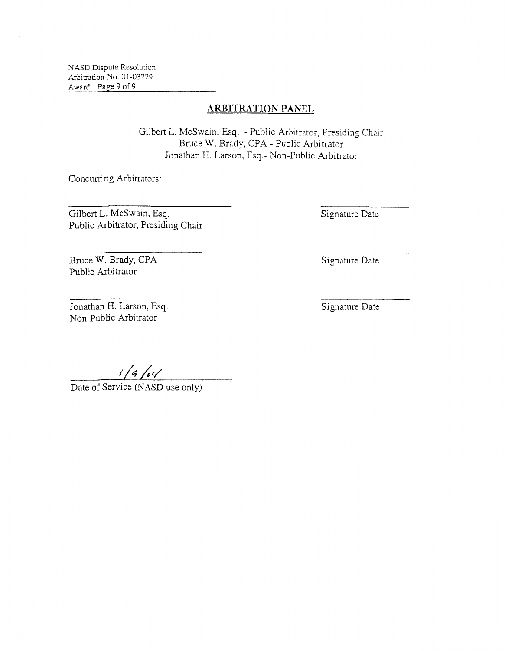NASD Dispute Resolution Arbitration **NO.** 01-03229 Award Page *9* of 9

## **ARBITRATION PAmL**

Gilbert L. McSwain, Esq. - Public Arbitrator, Presiding Chair Bruce W. Brady, CPA - Public Arbitrator Jonathan H. Larson, Esq.- Non-Public Arbitrator

Concurring Arbitrators:

Gilbert L. McSwain, Esq. Public Arbitrator, Presiding Chair

Signature Date

Bruce W. Brady, CPA Public Arbitrator

Jonathan H. Larson, Esq. Non-Public Arbitrator

Signature Date

 $1/4/04$ 

Date of Service (NASD use only)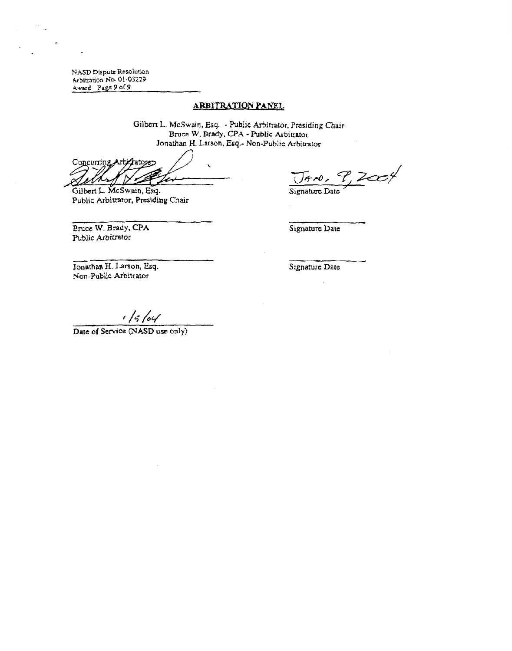NASD Dispute Resolution Arbitration No. 01-03229 Award Page 9 of 9

#### ARBITRATION PANEL

Gilbcrt L. **McSwajo, Esq.** - **Public** Arbitrator, **Presiding Chair**  Bruce **W.** Brady. **CP.4** - **Public Arbitrator Jonathan H.** Larson, *Eq.-* Non-Public **Arbitrator**  *A* 

Concurring Arbitrators  $\lambda$ z

 $50, 9,200$ 

Signature Date

Gilbert L. McSwain, Esq. **Public Arbiuamr, Presiding** Chair

Bruce W. Brady, CPA Public Arbitrator

**Signaturc Date** 

Jonathan H. Larson, Esq. Non-Public **Arbitram** 

 $1/6/04$ 

Date of Service (NASD use only)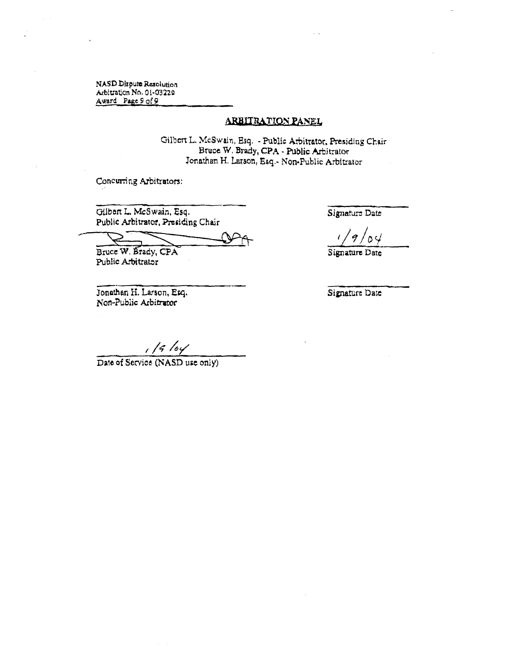NASD Dispute Resolution Arbitration No. 01-03229 Award Page 9 of 9

#### ARBITRATION PANEL

Gilbert L. McSwain, Esq. - Public Arbitrator, Presiding Chair<br>Bruce W. Brady, CPA - Public Arbitrator<br>Jonathan H. Larson, Esq. - Non-Public Arbitrator

Concurring Arbitrators:

**Gilbert** L. McSwain, **Esq,**  Public Arbitrator, Presiding Chair

*f* 

**Bruce W. Brady, CPA**<br>Public Arbitrator

Jonathan H. Larson, Esq. Non-Public Arbitrator

Signature Date

 $\circ$ 

 $1/9/6/$ 

**Date of Scrvicd (NASD ucc** only)